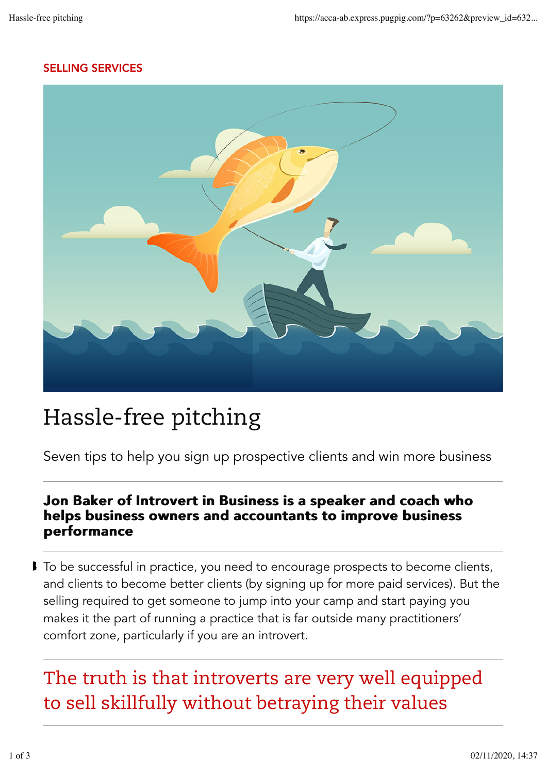#### SELLING SERVICES



## Hassle-free pitching

Seven tips to help you sign up prospective clients and win more business

#### Jon Baker of Introvert in Business is a speaker and coach who helps business owners and accountants to improve business performance

■ To be successful in practice, you need to encourage prospects to become clients, and clients to become better clients (by signing up for more paid services). But the selling required to get someone to jump into your camp and start paying you makes it the part of running a practice that is far outside many practitioners' comfort zone, particularly if you are an introvert.

### The truth is that introverts are very well equipped to sell skillfully without betraying their values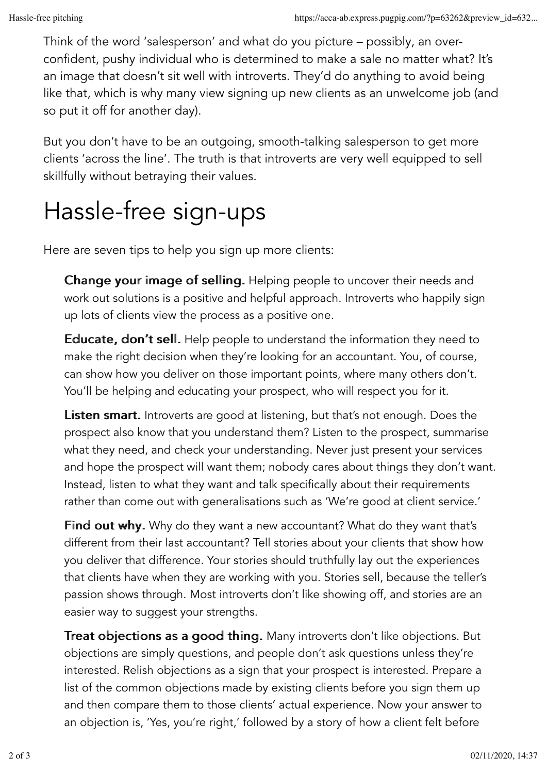Think of the word 'salesperson' and what do you picture – possibly, an overconfident, pushy individual who is determined to make a sale no matter what? It's an image that doesn't sit well with introverts. They'd do anything to avoid being like that, which is why many view signing up new clients as an unwelcome job (and so put it off for another day).

But you don't have to be an outgoing, smooth-talking salesperson to get more clients 'across the line'. The truth is that introverts are very well equipped to sell skillfully without betraying their values.

# Hassle-free sign-ups

Here are seven tips to help you sign up more clients:

Change your image of selling. Helping people to uncover their needs and work out solutions is a positive and helpful approach. Introverts who happily sign up lots of clients view the process as a positive one.

Educate, don't sell. Help people to understand the information they need to make the right decision when they're looking for an accountant. You, of course, can show how you deliver on those important points, where many others don't. You'll be helping and educating your prospect, who will respect you for it.

**Listen smart.** Introverts are good at listening, but that's not enough. Does the prospect also know that you understand them? Listen to the prospect, summarise what they need, and check your understanding. Never just present your services and hope the prospect will want them; nobody cares about things they don't want. Instead, listen to what they want and talk specifically about their requirements rather than come out with generalisations such as 'We're good at client service.'

Find out why. Why do they want a new accountant? What do they want that's different from their last accountant? Tell stories about your clients that show how you deliver that difference. Your stories should truthfully lay out the experiences that clients have when they are working with you. Stories sell, because the teller's passion shows through. Most introverts don't like showing off, and stories are an easier way to suggest your strengths.

Treat objections as a good thing. Many introverts don't like objections. But objections are simply questions, and people don't ask questions unless they're interested. Relish objections as a sign that your prospect is interested. Prepare a list of the common objections made by existing clients before you sign them up and then compare them to those clients' actual experience. Now your answer to an objection is, 'Yes, you're right,' followed by a story of how a client felt before